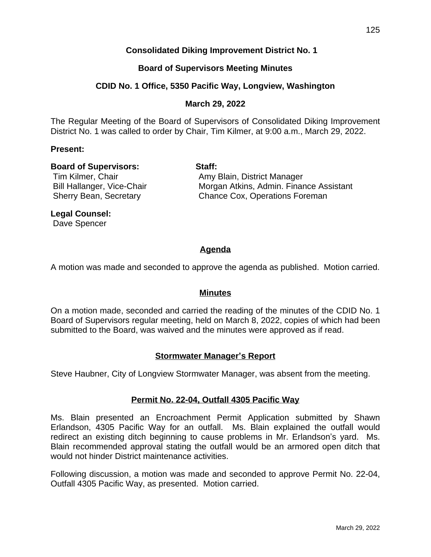### **Consolidated Diking Improvement District No. 1**

### **Board of Supervisors Meeting Minutes**

### **CDID No. 1 Office, 5350 Pacific Way, Longview, Washington**

#### **March 29, 2022**

The Regular Meeting of the Board of Supervisors of Consolidated Diking Improvement District No. 1 was called to order by Chair, Tim Kilmer, at 9:00 a.m., March 29, 2022.

#### **Present:**

#### **Board of Supervisors: Staff:**

Tim Kilmer, Chair **Amy Blain, District Manager** Bill Hallanger, Vice-Chair **Morgan Atkins, Admin. Finance Assistant** Sherry Bean, Secretary **Chance Cox, Operations Foreman** 

### **Legal Counsel:**

Dave Spencer

## **Agenda**

A motion was made and seconded to approve the agenda as published. Motion carried.

#### **Minutes**

On a motion made, seconded and carried the reading of the minutes of the CDID No. 1 Board of Supervisors regular meeting, held on March 8, 2022, copies of which had been submitted to the Board, was waived and the minutes were approved as if read.

#### **Stormwater Manager's Report**

Steve Haubner, City of Longview Stormwater Manager, was absent from the meeting.

#### **Permit No. 22-04, Outfall 4305 Pacific Way**

Ms. Blain presented an Encroachment Permit Application submitted by Shawn Erlandson, 4305 Pacific Way for an outfall. Ms. Blain explained the outfall would redirect an existing ditch beginning to cause problems in Mr. Erlandson's yard. Ms. Blain recommended approval stating the outfall would be an armored open ditch that would not hinder District maintenance activities.

Following discussion, a motion was made and seconded to approve Permit No. 22-04, Outfall 4305 Pacific Way, as presented. Motion carried.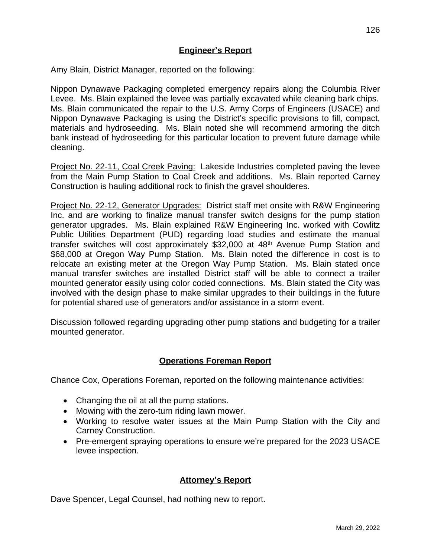### **Engineer's Report**

Amy Blain, District Manager, reported on the following:

Nippon Dynawave Packaging completed emergency repairs along the Columbia River Levee. Ms. Blain explained the levee was partially excavated while cleaning bark chips. Ms. Blain communicated the repair to the U.S. Army Corps of Engineers (USACE) and Nippon Dynawave Packaging is using the District's specific provisions to fill, compact, materials and hydroseeding. Ms. Blain noted she will recommend armoring the ditch bank instead of hydroseeding for this particular location to prevent future damage while cleaning.

Project No. 22-11, Coal Creek Paving: Lakeside Industries completed paving the levee from the Main Pump Station to Coal Creek and additions. Ms. Blain reported Carney Construction is hauling additional rock to finish the gravel shoulderes.

Project No. 22-12, Generator Upgrades: District staff met onsite with R&W Engineering Inc. and are working to finalize manual transfer switch designs for the pump station generator upgrades. Ms. Blain explained R&W Engineering Inc. worked with Cowlitz Public Utilities Department (PUD) regarding load studies and estimate the manual transfer switches will cost approximately \$32,000 at 48th Avenue Pump Station and \$68,000 at Oregon Way Pump Station. Ms. Blain noted the difference in cost is to relocate an existing meter at the Oregon Way Pump Station. Ms. Blain stated once manual transfer switches are installed District staff will be able to connect a trailer mounted generator easily using color coded connections. Ms. Blain stated the City was involved with the design phase to make similar upgrades to their buildings in the future for potential shared use of generators and/or assistance in a storm event.

Discussion followed regarding upgrading other pump stations and budgeting for a trailer mounted generator.

### **Operations Foreman Report**

Chance Cox, Operations Foreman, reported on the following maintenance activities:

- Changing the oil at all the pump stations.
- Mowing with the zero-turn riding lawn mower.
- Working to resolve water issues at the Main Pump Station with the City and Carney Construction.
- Pre-emergent spraying operations to ensure we're prepared for the 2023 USACE levee inspection.

#### **Attorney's Report**

Dave Spencer, Legal Counsel, had nothing new to report.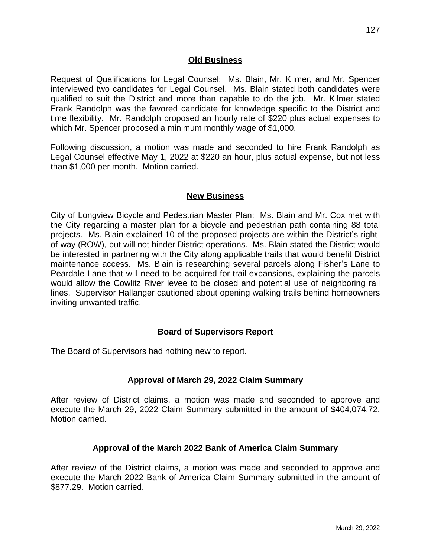### **Old Business**

Request of Qualifications for Legal Counsel: Ms. Blain, Mr. Kilmer, and Mr. Spencer interviewed two candidates for Legal Counsel. Ms. Blain stated both candidates were qualified to suit the District and more than capable to do the job. Mr. Kilmer stated Frank Randolph was the favored candidate for knowledge specific to the District and time flexibility. Mr. Randolph proposed an hourly rate of \$220 plus actual expenses to which Mr. Spencer proposed a minimum monthly wage of \$1,000.

Following discussion, a motion was made and seconded to hire Frank Randolph as Legal Counsel effective May 1, 2022 at \$220 an hour, plus actual expense, but not less than \$1,000 per month. Motion carried.

## **New Business**

City of Longview Bicycle and Pedestrian Master Plan: Ms. Blain and Mr. Cox met with the City regarding a master plan for a bicycle and pedestrian path containing 88 total projects. Ms. Blain explained 10 of the proposed projects are within the District's rightof-way (ROW), but will not hinder District operations. Ms. Blain stated the District would be interested in partnering with the City along applicable trails that would benefit District maintenance access. Ms. Blain is researching several parcels along Fisher's Lane to Peardale Lane that will need to be acquired for trail expansions, explaining the parcels would allow the Cowlitz River levee to be closed and potential use of neighboring rail lines. Supervisor Hallanger cautioned about opening walking trails behind homeowners inviting unwanted traffic.

### **Board of Supervisors Report**

The Board of Supervisors had nothing new to report.

# **Approval of March 29, 2022 Claim Summary**

After review of District claims, a motion was made and seconded to approve and execute the March 29, 2022 Claim Summary submitted in the amount of \$404,074.72. Motion carried.

# **Approval of the March 2022 Bank of America Claim Summary**

After review of the District claims, a motion was made and seconded to approve and execute the March 2022 Bank of America Claim Summary submitted in the amount of \$877.29. Motion carried.